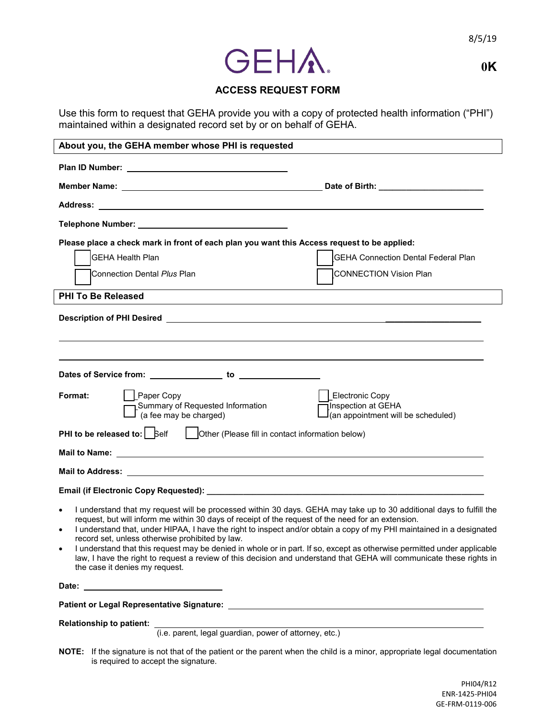

**0K**

## **ACCESS REQUEST FORM**

Use this form to request that GEHA provide you with a copy of protected health information ("PHI") maintained within a designated record set by or on behalf of GEHA.

| About you, the GEHA member whose PHI is requested                                                                                                                                                                                    |                                                                                        |
|--------------------------------------------------------------------------------------------------------------------------------------------------------------------------------------------------------------------------------------|----------------------------------------------------------------------------------------|
|                                                                                                                                                                                                                                      |                                                                                        |
|                                                                                                                                                                                                                                      |                                                                                        |
|                                                                                                                                                                                                                                      |                                                                                        |
|                                                                                                                                                                                                                                      |                                                                                        |
| Please place a check mark in front of each plan you want this Access request to be applied:                                                                                                                                          |                                                                                        |
| <b>GEHA Health Plan</b>                                                                                                                                                                                                              | <b>GEHA Connection Dental Federal Plan</b>                                             |
| <b>I</b> Connection Dental <i>Plus</i> Plan                                                                                                                                                                                          | <b>CONNECTION Vision Plan</b>                                                          |
| <b>PHI To Be Released</b>                                                                                                                                                                                                            |                                                                                        |
|                                                                                                                                                                                                                                      |                                                                                        |
|                                                                                                                                                                                                                                      |                                                                                        |
| Paper Copy<br>Format:<br>Summary of Requested Information<br>$\mathsf{I}$ (a fee may be charged)                                                                                                                                     | <b>Electronic Copy</b><br>Inspection at GEHA<br>$J$ (an appointment will be scheduled) |
| <b>PHI to be released to:</b>   Self<br>Other (Please fill in contact information below)                                                                                                                                             |                                                                                        |
|                                                                                                                                                                                                                                      |                                                                                        |
|                                                                                                                                                                                                                                      |                                                                                        |
| Email (if Electronic Copy Requested): <b>All any Contract Contract Contract Contract Contract Contract Contract Contract Contract Contract Contract Contract Contract Contract Contract Contract Contract Contract Contract Cont</b> |                                                                                        |
| I understand that my request will be processed within 30 days. GEHA may take up to 30 additional days to fulfill the                                                                                                                 |                                                                                        |

- request, but will inform me within 30 days of receipt of the request of the need for an extension.
- I understand that, under HIPAA, I have the right to inspect and/or obtain a copy of my PHI maintained in a designated record set, unless otherwise prohibited by law.
- I understand that this request may be denied in whole or in part. If so, except as otherwise permitted under applicable law, I have the right to request a review of this decision and understand that GEHA will communicate these rights in the case it denies my request.

**Date:** 

**Patient or Legal Representative Signature:** 

**Relationship to patient:** 

(i.e. parent, legal guardian, power of attorney, etc.)

**NOTE:** If the signature is not that of the patient or the parent when the child is a minor, appropriate legal documentation is required to accept the signature.